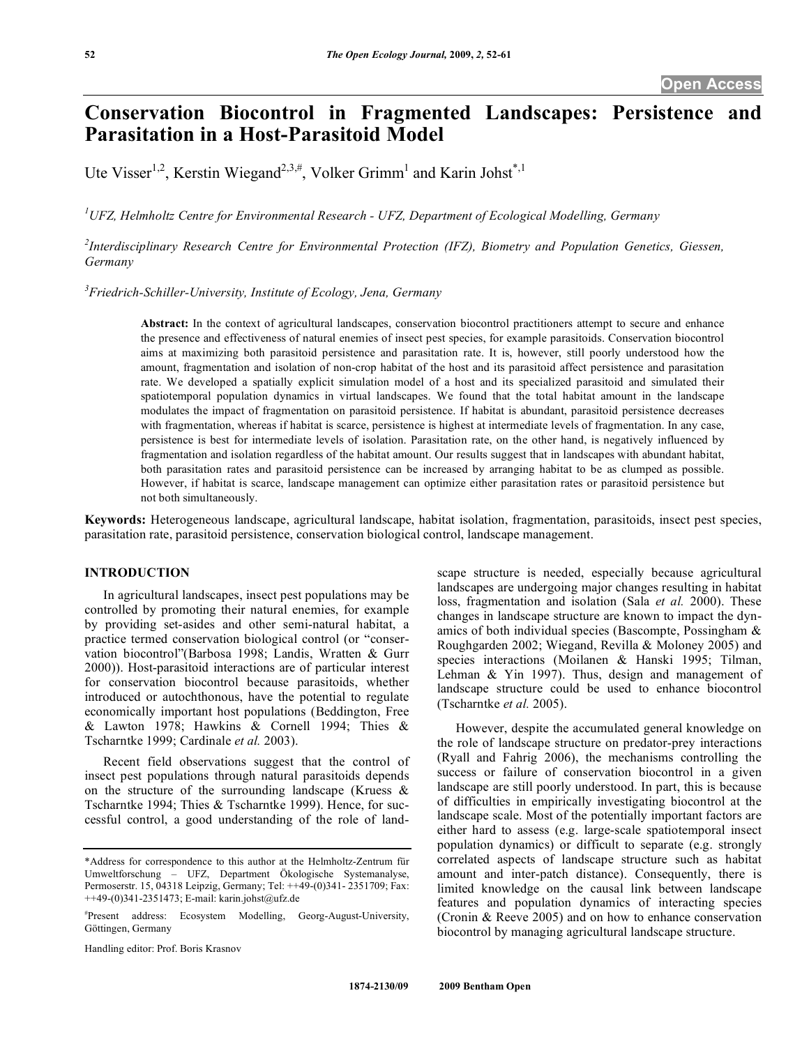# **Conservation Biocontrol in Fragmented Landscapes: Persistence and Parasitation in a Host-Parasitoid Model**

Ute Visser<sup>1,2</sup>, Kerstin Wiegand<sup>2,3,#</sup>, Volker Grimm<sup>1</sup> and Karin Johst<sup>\*,1</sup>

*1 UFZ, Helmholtz Centre for Environmental Research - UFZ, Department of Ecological Modelling, Germany* 

*2 Interdisciplinary Research Centre for Environmental Protection (IFZ), Biometry and Population Genetics, Giessen, Germany* 

*3 Friedrich-Schiller-University, Institute of Ecology, Jena, Germany* 

**Abstract:** In the context of agricultural landscapes, conservation biocontrol practitioners attempt to secure and enhance the presence and effectiveness of natural enemies of insect pest species, for example parasitoids. Conservation biocontrol aims at maximizing both parasitoid persistence and parasitation rate. It is, however, still poorly understood how the amount, fragmentation and isolation of non-crop habitat of the host and its parasitoid affect persistence and parasitation rate. We developed a spatially explicit simulation model of a host and its specialized parasitoid and simulated their spatiotemporal population dynamics in virtual landscapes. We found that the total habitat amount in the landscape modulates the impact of fragmentation on parasitoid persistence. If habitat is abundant, parasitoid persistence decreases with fragmentation, whereas if habitat is scarce, persistence is highest at intermediate levels of fragmentation. In any case, persistence is best for intermediate levels of isolation. Parasitation rate, on the other hand, is negatively influenced by fragmentation and isolation regardless of the habitat amount. Our results suggest that in landscapes with abundant habitat, both parasitation rates and parasitoid persistence can be increased by arranging habitat to be as clumped as possible. However, if habitat is scarce, landscape management can optimize either parasitation rates or parasitoid persistence but not both simultaneously.

**Keywords:** Heterogeneous landscape, agricultural landscape, habitat isolation, fragmentation, parasitoids, insect pest species, parasitation rate, parasitoid persistence, conservation biological control, landscape management.

# **INTRODUCTION**

 In agricultural landscapes, insect pest populations may be controlled by promoting their natural enemies, for example by providing set-asides and other semi-natural habitat, a practice termed conservation biological control (or "conservation biocontrol"(Barbosa 1998; Landis, Wratten & Gurr 2000)). Host-parasitoid interactions are of particular interest for conservation biocontrol because parasitoids, whether introduced or autochthonous, have the potential to regulate economically important host populations (Beddington, Free & Lawton 1978; Hawkins & Cornell 1994; Thies & Tscharntke 1999; Cardinale *et al.* 2003).

 Recent field observations suggest that the control of insect pest populations through natural parasitoids depends on the structure of the surrounding landscape (Kruess  $\&$ Tscharntke 1994; Thies & Tscharntke 1999). Hence, for successful control, a good understanding of the role of land-

Handling editor: Prof. Boris Krasnov

scape structure is needed, especially because agricultural landscapes are undergoing major changes resulting in habitat loss, fragmentation and isolation (Sala *et al.* 2000). These changes in landscape structure are known to impact the dynamics of both individual species (Bascompte, Possingham & Roughgarden 2002; Wiegand, Revilla & Moloney 2005) and species interactions (Moilanen & Hanski 1995; Tilman, Lehman & Yin 1997). Thus, design and management of landscape structure could be used to enhance biocontrol (Tscharntke *et al.* 2005).

 However, despite the accumulated general knowledge on the role of landscape structure on predator-prey interactions (Ryall and Fahrig 2006), the mechanisms controlling the success or failure of conservation biocontrol in a given landscape are still poorly understood. In part, this is because of difficulties in empirically investigating biocontrol at the landscape scale. Most of the potentially important factors are either hard to assess (e.g. large-scale spatiotemporal insect population dynamics) or difficult to separate (e.g. strongly correlated aspects of landscape structure such as habitat amount and inter-patch distance). Consequently, there is limited knowledge on the causal link between landscape features and population dynamics of interacting species (Cronin & Reeve 2005) and on how to enhance conservation biocontrol by managing agricultural landscape structure.

<sup>\*</sup>Address for correspondence to this author at the Helmholtz-Zentrum für Umweltforschung – UFZ, Department Ökologische Systemanalyse, Permoserstr. 15, 04318 Leipzig, Germany; Tel: ++49-(0)341- 2351709; Fax: ++49-(0)341-2351473; E-mail: karin.johst@ufz.de

<sup>#</sup> Present address: Ecosystem Modelling, Georg-August-University, Göttingen, Germany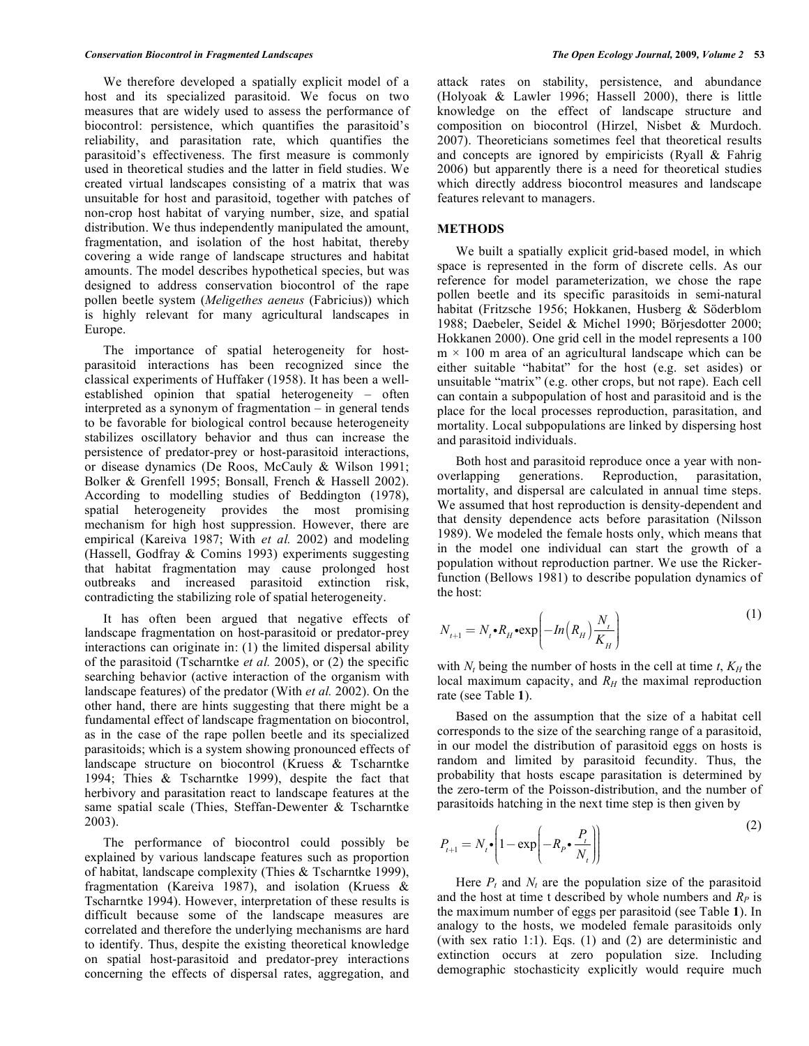We therefore developed a spatially explicit model of a host and its specialized parasitoid. We focus on two measures that are widely used to assess the performance of biocontrol: persistence, which quantifies the parasitoid's reliability, and parasitation rate, which quantifies the parasitoid's effectiveness. The first measure is commonly used in theoretical studies and the latter in field studies. We created virtual landscapes consisting of a matrix that was unsuitable for host and parasitoid, together with patches of non-crop host habitat of varying number, size, and spatial distribution. We thus independently manipulated the amount, fragmentation, and isolation of the host habitat, thereby covering a wide range of landscape structures and habitat amounts. The model describes hypothetical species, but was designed to address conservation biocontrol of the rape pollen beetle system (*Meligethes aeneus* (Fabricius)) which is highly relevant for many agricultural landscapes in Europe.

 The importance of spatial heterogeneity for hostparasitoid interactions has been recognized since the classical experiments of Huffaker (1958). It has been a wellestablished opinion that spatial heterogeneity – often interpreted as a synonym of fragmentation – in general tends to be favorable for biological control because heterogeneity stabilizes oscillatory behavior and thus can increase the persistence of predator-prey or host-parasitoid interactions, or disease dynamics (De Roos, McCauly & Wilson 1991; Bolker & Grenfell 1995; Bonsall, French & Hassell 2002). According to modelling studies of Beddington (1978), spatial heterogeneity provides the most promising mechanism for high host suppression. However, there are empirical (Kareiva 1987; With *et al.* 2002) and modeling (Hassell, Godfray & Comins 1993) experiments suggesting that habitat fragmentation may cause prolonged host outbreaks and increased parasitoid extinction risk, contradicting the stabilizing role of spatial heterogeneity.

 It has often been argued that negative effects of landscape fragmentation on host-parasitoid or predator-prey interactions can originate in: (1) the limited dispersal ability of the parasitoid (Tscharntke *et al.* 2005), or (2) the specific searching behavior (active interaction of the organism with landscape features) of the predator (With *et al.* 2002). On the other hand, there are hints suggesting that there might be a fundamental effect of landscape fragmentation on biocontrol, as in the case of the rape pollen beetle and its specialized parasitoids; which is a system showing pronounced effects of landscape structure on biocontrol (Kruess & Tscharntke 1994; Thies & Tscharntke 1999), despite the fact that herbivory and parasitation react to landscape features at the same spatial scale (Thies, Steffan-Dewenter & Tscharntke 2003).

 The performance of biocontrol could possibly be explained by various landscape features such as proportion of habitat, landscape complexity (Thies & Tscharntke 1999), fragmentation (Kareiva 1987), and isolation (Kruess & Tscharntke 1994). However, interpretation of these results is difficult because some of the landscape measures are correlated and therefore the underlying mechanisms are hard to identify. Thus, despite the existing theoretical knowledge on spatial host-parasitoid and predator-prey interactions concerning the effects of dispersal rates, aggregation, and

attack rates on stability, persistence, and abundance (Holyoak & Lawler 1996; Hassell 2000), there is little knowledge on the effect of landscape structure and composition on biocontrol (Hirzel, Nisbet & Murdoch. 2007). Theoreticians sometimes feel that theoretical results and concepts are ignored by empiricists (Ryall & Fahrig 2006) but apparently there is a need for theoretical studies which directly address biocontrol measures and landscape features relevant to managers.

#### **METHODS**

 We built a spatially explicit grid-based model, in which space is represented in the form of discrete cells. As our reference for model parameterization, we chose the rape pollen beetle and its specific parasitoids in semi-natural habitat (Fritzsche 1956; Hokkanen, Husberg & Söderblom 1988; Daebeler, Seidel & Michel 1990; Börjesdotter 2000; Hokkanen 2000). One grid cell in the model represents a 100  $m \times 100$  m area of an agricultural landscape which can be either suitable "habitat" for the host (e.g. set asides) or unsuitable "matrix" (e.g. other crops, but not rape). Each cell can contain a subpopulation of host and parasitoid and is the place for the local processes reproduction, parasitation, and mortality. Local subpopulations are linked by dispersing host and parasitoid individuals.

 Both host and parasitoid reproduce once a year with nonoverlapping generations. Reproduction, parasitation, mortality, and dispersal are calculated in annual time steps. We assumed that host reproduction is density-dependent and that density dependence acts before parasitation (Nilsson 1989). We modeled the female hosts only, which means that in the model one individual can start the growth of a population without reproduction partner. We use the Rickerfunction (Bellows 1981) to describe population dynamics of the host:

$$
N_{t+1} = N_t \cdot R_H \cdot \exp\left(-\ln\left(R_H\right) \frac{N_t}{K_H}\right) \tag{1}
$$

with  $N_t$  being the number of hosts in the cell at time  $t$ ,  $K_H$  the local maximum capacity, and  $R_H$  the maximal reproduction rate (see Table **1**).

 Based on the assumption that the size of a habitat cell corresponds to the size of the searching range of a parasitoid, in our model the distribution of parasitoid eggs on hosts is random and limited by parasitoid fecundity. Thus, the probability that hosts escape parasitation is determined by the zero-term of the Poisson-distribution, and the number of parasitoids hatching in the next time step is then given by

$$
P_{t+1} = N_t \cdot \left(1 - \exp\left(-R_p \cdot \frac{P_t}{N_t}\right)\right)
$$
 (2)

Here  $P_t$  and  $N_t$  are the population size of the parasitoid and the host at time t described by whole numbers and  $R_P$  is the maximum number of eggs per parasitoid (see Table **1**). In analogy to the hosts, we modeled female parasitoids only (with sex ratio 1:1). Eqs. (1) and (2) are deterministic and extinction occurs at zero population size. Including demographic stochasticity explicitly would require much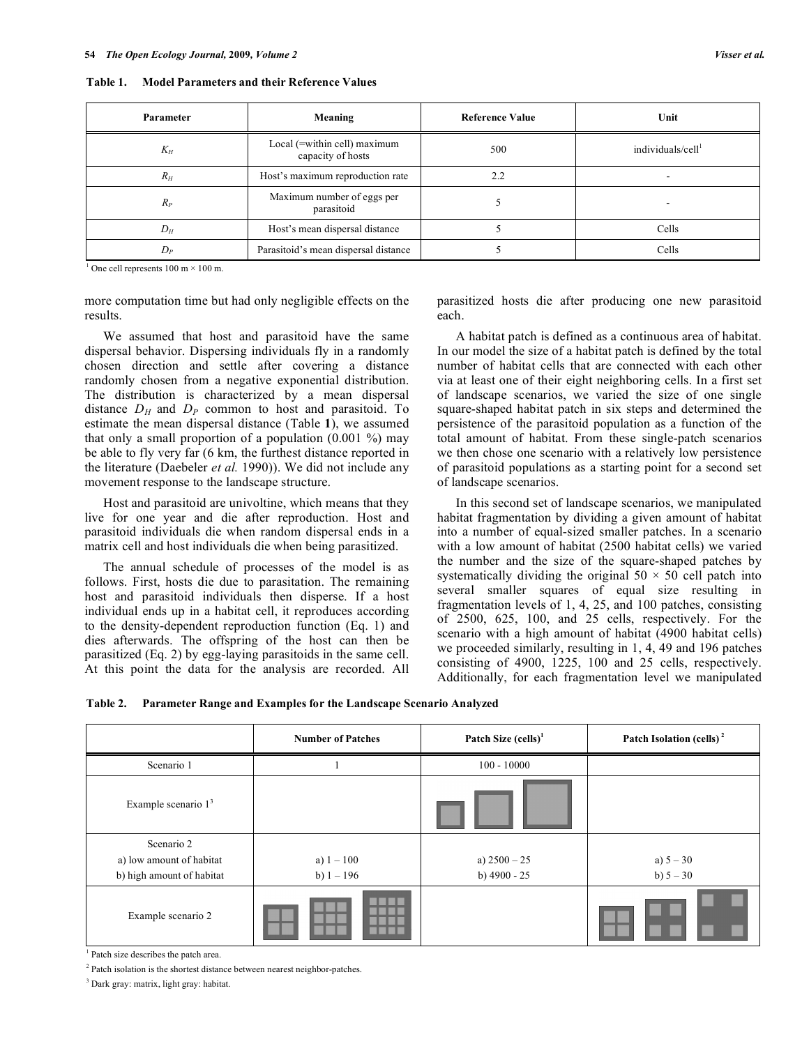**Table 1. Model Parameters and their Reference Values** 

| Parameter | Meaning                                           | <b>Reference Value</b> | Unit                          |
|-----------|---------------------------------------------------|------------------------|-------------------------------|
| $K_H$     | Local (=within cell) maximum<br>capacity of hosts | 500                    | individuals/cell <sup>1</sup> |
| $R_H$     | Host's maximum reproduction rate                  | 2.2                    |                               |
| $R_P$     | Maximum number of eggs per<br>parasitoid          |                        |                               |
| $D_H$     | Host's mean dispersal distance                    |                        | Cells                         |
| $D_P$     | Parasitoid's mean dispersal distance              |                        | Cells                         |

<sup>1</sup> One cell represents  $100 \text{ m} \times 100 \text{ m}$ .

more computation time but had only negligible effects on the results.

 We assumed that host and parasitoid have the same dispersal behavior. Dispersing individuals fly in a randomly chosen direction and settle after covering a distance randomly chosen from a negative exponential distribution. The distribution is characterized by a mean dispersal distance  $D_H$  and  $D_P$  common to host and parasitoid. To estimate the mean dispersal distance (Table **1**), we assumed that only a small proportion of a population  $(0.001 \%)$  may be able to fly very far (6 km, the furthest distance reported in the literature (Daebeler *et al.* 1990)). We did not include any movement response to the landscape structure.

 Host and parasitoid are univoltine, which means that they live for one year and die after reproduction. Host and parasitoid individuals die when random dispersal ends in a matrix cell and host individuals die when being parasitized.

 The annual schedule of processes of the model is as follows. First, hosts die due to parasitation. The remaining host and parasitoid individuals then disperse. If a host individual ends up in a habitat cell, it reproduces according to the density-dependent reproduction function (Eq. 1) and dies afterwards. The offspring of the host can then be parasitized (Eq. 2) by egg-laying parasitoids in the same cell. At this point the data for the analysis are recorded. All parasitized hosts die after producing one new parasitoid each.

 A habitat patch is defined as a continuous area of habitat. In our model the size of a habitat patch is defined by the total number of habitat cells that are connected with each other via at least one of their eight neighboring cells. In a first set of landscape scenarios, we varied the size of one single square-shaped habitat patch in six steps and determined the persistence of the parasitoid population as a function of the total amount of habitat. From these single-patch scenarios we then chose one scenario with a relatively low persistence of parasitoid populations as a starting point for a second set of landscape scenarios.

 In this second set of landscape scenarios, we manipulated habitat fragmentation by dividing a given amount of habitat into a number of equal-sized smaller patches. In a scenario with a low amount of habitat (2500 habitat cells) we varied the number and the size of the square-shaped patches by systematically dividing the original  $50 \times 50$  cell patch into several smaller squares of equal size resulting in fragmentation levels of 1, 4, 25, and 100 patches, consisting of 2500, 625, 100, and 25 cells, respectively. For the scenario with a high amount of habitat (4900 habitat cells) we proceeded similarly, resulting in 1, 4, 49 and 196 patches consisting of 4900, 1225, 100 and 25 cells, respectively. Additionally, for each fragmentation level we manipulated

| <b>Table 2.</b> | <b>Parameter Range and Examples for the Landscape Scenario Analyzed</b> |  |  |
|-----------------|-------------------------------------------------------------------------|--|--|
|                 |                                                                         |  |  |

|                                                                     | <b>Number of Patches</b>     | Patch Size $(cells)^1$           | Patch Isolation (cells) <sup>2</sup> |
|---------------------------------------------------------------------|------------------------------|----------------------------------|--------------------------------------|
| Scenario 1                                                          |                              | $100 - 10000$                    |                                      |
| Example scenario $13$                                               |                              |                                  |                                      |
| Scenario 2<br>a) low amount of habitat<br>b) high amount of habitat | a) $1 - 100$<br>b) $1 - 196$ | a) $2500 - 25$<br>b) $4900 - 25$ | a) $5 - 30$<br>b) $5 - 30$           |
| Example scenario 2                                                  |                              |                                  |                                      |

1 Patch size describes the patch area.

<sup>2</sup> Patch isolation is the shortest distance between nearest neighbor-patches.

3 Dark gray: matrix, light gray: habitat.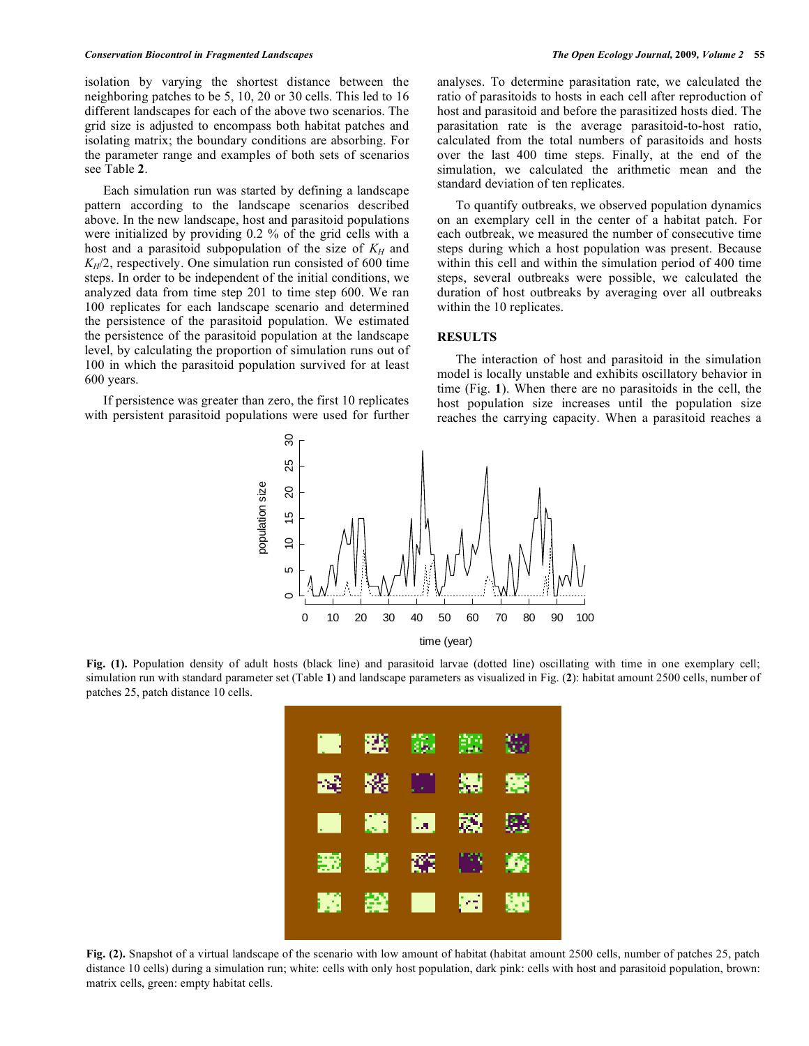isolation by varying the shortest distance between the neighboring patches to be 5, 10, 20 or 30 cells. This led to 16 different landscapes for each of the above two scenarios. The grid size is adjusted to encompass both habitat patches and isolating matrix; the boundary conditions are absorbing. For the parameter range and examples of both sets of scenarios see Table **2**.

 Each simulation run was started by defining a landscape pattern according to the landscape scenarios described above. In the new landscape, host and parasitoid populations were initialized by providing 0.2 % of the grid cells with a host and a parasitoid subpopulation of the size of  $K_H$  and  $K_H/2$ , respectively. One simulation run consisted of 600 time steps. In order to be independent of the initial conditions, we analyzed data from time step 201 to time step 600. We ran 100 replicates for each landscape scenario and determined the persistence of the parasitoid population. We estimated the persistence of the parasitoid population at the landscape level, by calculating the proportion of simulation runs out of 100 in which the parasitoid population survived for at least 600 years.

 If persistence was greater than zero, the first 10 replicates with persistent parasitoid populations were used for further analyses. To determine parasitation rate, we calculated the ratio of parasitoids to hosts in each cell after reproduction of host and parasitoid and before the parasitized hosts died. The parasitation rate is the average parasitoid-to-host ratio, calculated from the total numbers of parasitoids and hosts over the last 400 time steps. Finally, at the end of the simulation, we calculated the arithmetic mean and the standard deviation of ten replicates.

 To quantify outbreaks, we observed population dynamics on an exemplary cell in the center of a habitat patch. For each outbreak, we measured the number of consecutive time steps during which a host population was present. Because within this cell and within the simulation period of 400 time steps, several outbreaks were possible, we calculated the duration of host outbreaks by averaging over all outbreaks within the 10 replicates.

#### **RESULTS**

 The interaction of host and parasitoid in the simulation model is locally unstable and exhibits oscillatory behavior in time (Fig. **1**). When there are no parasitoids in the cell, the host population size increases until the population size reaches the carrying capacity. When a parasitoid reaches a



**Fig. (1).** Population density of adult hosts (black line) and parasitoid larvae (dotted line) oscillating with time in one exemplary cell; simulation run with standard parameter set (Table **1**) and landscape parameters as visualized in Fig. (**2**): habitat amount 2500 cells, number of patches 25, patch distance 10 cells.



**Fig. (2).** Snapshot of a virtual landscape of the scenario with low amount of habitat (habitat amount 2500 cells, number of patches 25, patch distance 10 cells) during a simulation run; white: cells with only host population, dark pink: cells with host and parasitoid population, brown: matrix cells, green: empty habitat cells.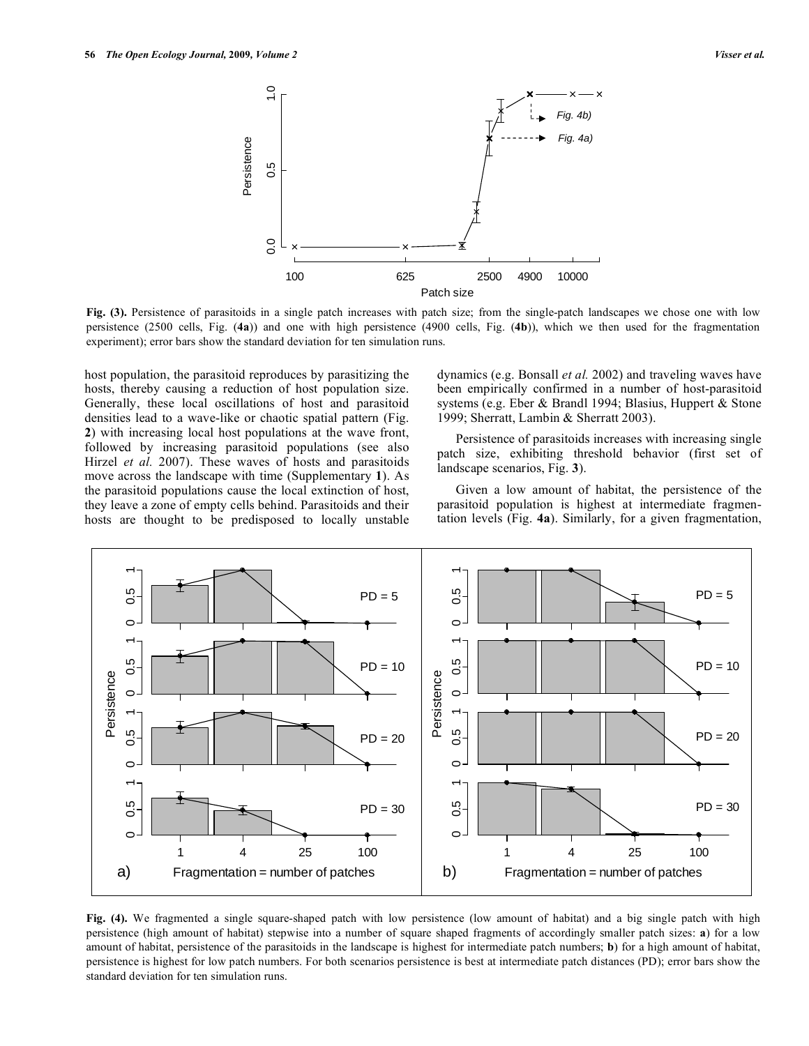

**Fig. (3).** Persistence of parasitoids in a single patch increases with patch size; from the single-patch landscapes we chose one with low persistence (2500 cells, Fig. (**4a**)) and one with high persistence (4900 cells, Fig. (**4b**)), which we then used for the fragmentation experiment); error bars show the standard deviation for ten simulation runs.

host population, the parasitoid reproduces by parasitizing the hosts, thereby causing a reduction of host population size. Generally, these local oscillations of host and parasitoid densities lead to a wave-like or chaotic spatial pattern (Fig. **2**) with increasing local host populations at the wave front, followed by increasing parasitoid populations (see also Hirzel *et al.* 2007). These waves of hosts and parasitoids move across the landscape with time (Supplementary **1**). As the parasitoid populations cause the local extinction of host, they leave a zone of empty cells behind. Parasitoids and their hosts are thought to be predisposed to locally unstable dynamics (e.g. Bonsall *et al.* 2002) and traveling waves have been empirically confirmed in a number of host-parasitoid systems (e.g. Eber & Brandl 1994; Blasius, Huppert & Stone 1999; Sherratt, Lambin & Sherratt 2003).

 Persistence of parasitoids increases with increasing single patch size, exhibiting threshold behavior (first set of landscape scenarios, Fig. **3**).

 Given a low amount of habitat, the persistence of the parasitoid population is highest at intermediate fragmentation levels (Fig. **4a**). Similarly, for a given fragmentation,



**Fig. (4).** We fragmented a single square-shaped patch with low persistence (low amount of habitat) and a big single patch with high persistence (high amount of habitat) stepwise into a number of square shaped fragments of accordingly smaller patch sizes: **a**) for a low amount of habitat, persistence of the parasitoids in the landscape is highest for intermediate patch numbers; **b**) for a high amount of habitat, persistence is highest for low patch numbers. For both scenarios persistence is best at intermediate patch distances (PD); error bars show the standard deviation for ten simulation runs.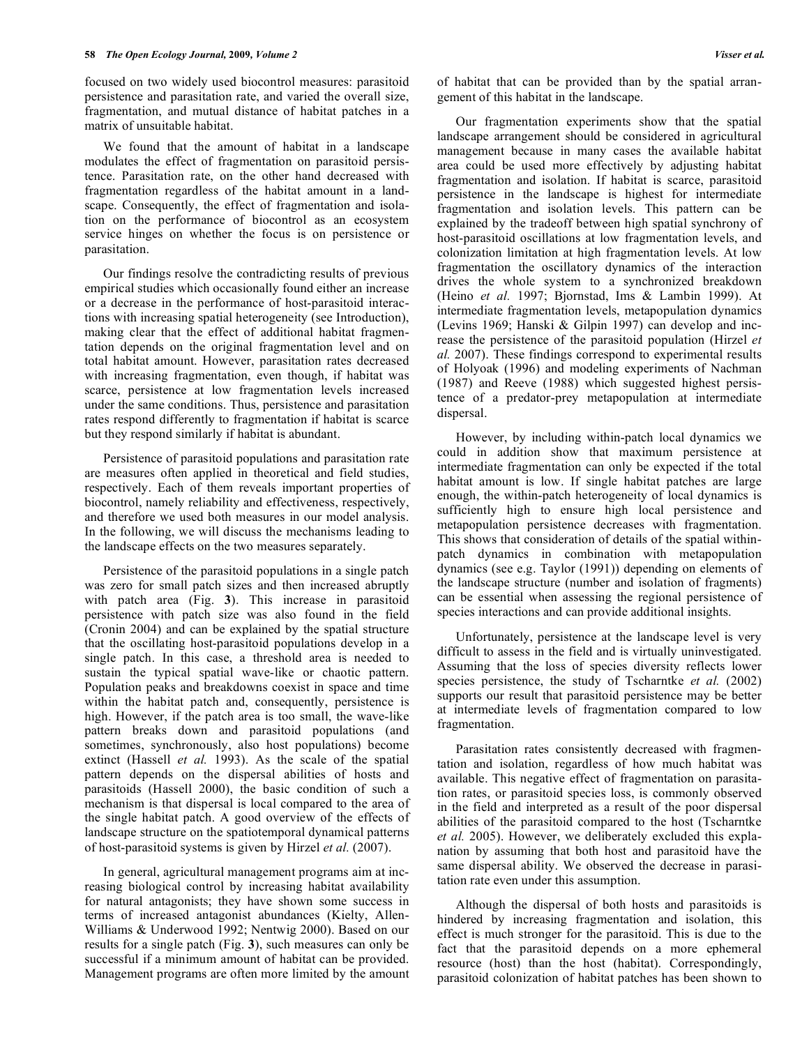focused on two widely used biocontrol measures: parasitoid persistence and parasitation rate, and varied the overall size, fragmentation, and mutual distance of habitat patches in a matrix of unsuitable habitat.

 We found that the amount of habitat in a landscape modulates the effect of fragmentation on parasitoid persistence. Parasitation rate, on the other hand decreased with fragmentation regardless of the habitat amount in a landscape. Consequently, the effect of fragmentation and isolation on the performance of biocontrol as an ecosystem service hinges on whether the focus is on persistence or parasitation.

 Our findings resolve the contradicting results of previous empirical studies which occasionally found either an increase or a decrease in the performance of host-parasitoid interactions with increasing spatial heterogeneity (see Introduction), making clear that the effect of additional habitat fragmentation depends on the original fragmentation level and on total habitat amount. However, parasitation rates decreased with increasing fragmentation, even though, if habitat was scarce, persistence at low fragmentation levels increased under the same conditions. Thus, persistence and parasitation rates respond differently to fragmentation if habitat is scarce but they respond similarly if habitat is abundant.

 Persistence of parasitoid populations and parasitation rate are measures often applied in theoretical and field studies, respectively. Each of them reveals important properties of biocontrol, namely reliability and effectiveness, respectively, and therefore we used both measures in our model analysis. In the following, we will discuss the mechanisms leading to the landscape effects on the two measures separately.

 Persistence of the parasitoid populations in a single patch was zero for small patch sizes and then increased abruptly with patch area (Fig. **3**). This increase in parasitoid persistence with patch size was also found in the field (Cronin 2004) and can be explained by the spatial structure that the oscillating host-parasitoid populations develop in a single patch. In this case, a threshold area is needed to sustain the typical spatial wave-like or chaotic pattern. Population peaks and breakdowns coexist in space and time within the habitat patch and, consequently, persistence is high. However, if the patch area is too small, the wave-like pattern breaks down and parasitoid populations (and sometimes, synchronously, also host populations) become extinct (Hassell *et al.* 1993). As the scale of the spatial pattern depends on the dispersal abilities of hosts and parasitoids (Hassell 2000), the basic condition of such a mechanism is that dispersal is local compared to the area of the single habitat patch. A good overview of the effects of landscape structure on the spatiotemporal dynamical patterns of host-parasitoid systems is given by Hirzel *et al.* (2007).

 In general, agricultural management programs aim at increasing biological control by increasing habitat availability for natural antagonists; they have shown some success in terms of increased antagonist abundances (Kielty, Allen-Williams & Underwood 1992; Nentwig 2000). Based on our results for a single patch (Fig. **3**), such measures can only be successful if a minimum amount of habitat can be provided. Management programs are often more limited by the amount of habitat that can be provided than by the spatial arrangement of this habitat in the landscape.

 Our fragmentation experiments show that the spatial landscape arrangement should be considered in agricultural management because in many cases the available habitat area could be used more effectively by adjusting habitat fragmentation and isolation. If habitat is scarce, parasitoid persistence in the landscape is highest for intermediate fragmentation and isolation levels. This pattern can be explained by the tradeoff between high spatial synchrony of host-parasitoid oscillations at low fragmentation levels, and colonization limitation at high fragmentation levels. At low fragmentation the oscillatory dynamics of the interaction drives the whole system to a synchronized breakdown (Heino *et al.* 1997; Bjornstad, Ims & Lambin 1999). At intermediate fragmentation levels, metapopulation dynamics (Levins 1969; Hanski & Gilpin 1997) can develop and increase the persistence of the parasitoid population (Hirzel *et al.* 2007). These findings correspond to experimental results of Holyoak (1996) and modeling experiments of Nachman (1987) and Reeve (1988) which suggested highest persistence of a predator-prey metapopulation at intermediate dispersal.

 However, by including within-patch local dynamics we could in addition show that maximum persistence at intermediate fragmentation can only be expected if the total habitat amount is low. If single habitat patches are large enough, the within-patch heterogeneity of local dynamics is sufficiently high to ensure high local persistence and metapopulation persistence decreases with fragmentation. This shows that consideration of details of the spatial withinpatch dynamics in combination with metapopulation dynamics (see e.g. Taylor (1991)) depending on elements of the landscape structure (number and isolation of fragments) can be essential when assessing the regional persistence of species interactions and can provide additional insights.

 Unfortunately, persistence at the landscape level is very difficult to assess in the field and is virtually uninvestigated. Assuming that the loss of species diversity reflects lower species persistence, the study of Tscharntke *et al.* (2002) supports our result that parasitoid persistence may be better at intermediate levels of fragmentation compared to low fragmentation.

 Parasitation rates consistently decreased with fragmentation and isolation, regardless of how much habitat was available. This negative effect of fragmentation on parasitation rates, or parasitoid species loss, is commonly observed in the field and interpreted as a result of the poor dispersal abilities of the parasitoid compared to the host (Tscharntke *et al.* 2005). However, we deliberately excluded this explanation by assuming that both host and parasitoid have the same dispersal ability. We observed the decrease in parasitation rate even under this assumption.

 Although the dispersal of both hosts and parasitoids is hindered by increasing fragmentation and isolation, this effect is much stronger for the parasitoid. This is due to the fact that the parasitoid depends on a more ephemeral resource (host) than the host (habitat). Correspondingly, parasitoid colonization of habitat patches has been shown to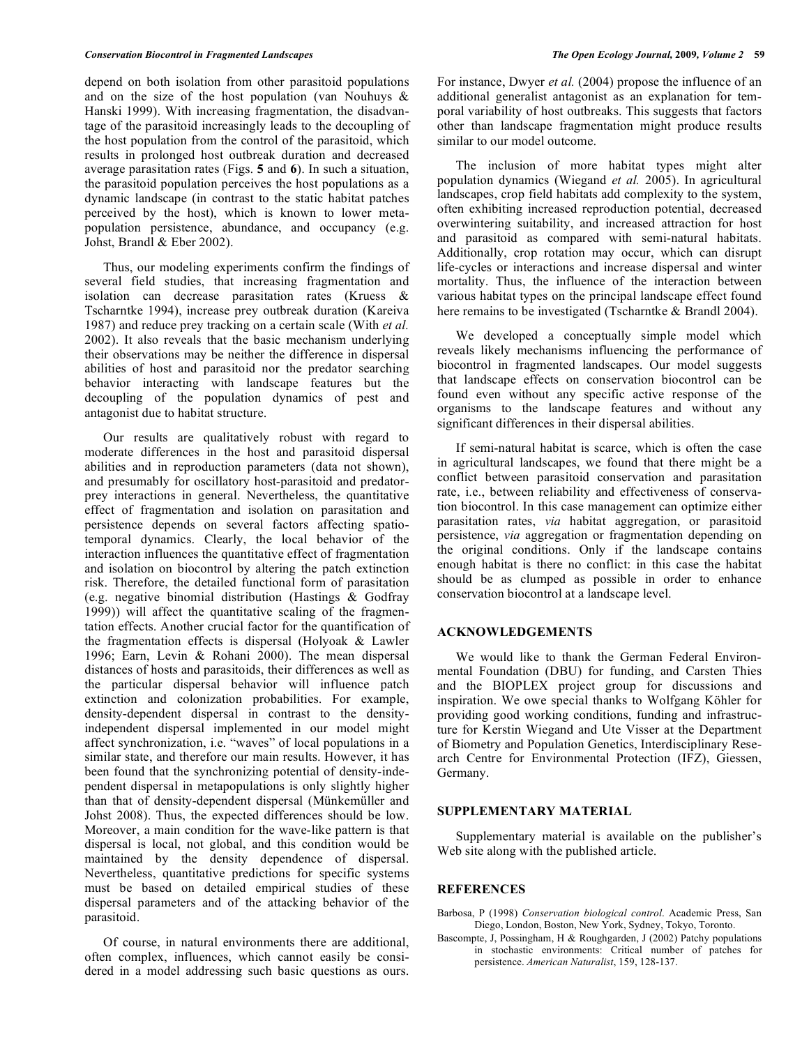depend on both isolation from other parasitoid populations and on the size of the host population (van Nouhuys & Hanski 1999). With increasing fragmentation, the disadvantage of the parasitoid increasingly leads to the decoupling of the host population from the control of the parasitoid, which results in prolonged host outbreak duration and decreased average parasitation rates (Figs. **5** and **6**). In such a situation, the parasitoid population perceives the host populations as a dynamic landscape (in contrast to the static habitat patches perceived by the host), which is known to lower metapopulation persistence, abundance, and occupancy (e.g. Johst, Brandl & Eber 2002).

 Thus, our modeling experiments confirm the findings of several field studies, that increasing fragmentation and isolation can decrease parasitation rates (Kruess & Tscharntke 1994), increase prey outbreak duration (Kareiva 1987) and reduce prey tracking on a certain scale (With *et al.*  2002). It also reveals that the basic mechanism underlying their observations may be neither the difference in dispersal abilities of host and parasitoid nor the predator searching behavior interacting with landscape features but the decoupling of the population dynamics of pest and antagonist due to habitat structure.

 Our results are qualitatively robust with regard to moderate differences in the host and parasitoid dispersal abilities and in reproduction parameters (data not shown), and presumably for oscillatory host-parasitoid and predatorprey interactions in general. Nevertheless, the quantitative effect of fragmentation and isolation on parasitation and persistence depends on several factors affecting spatiotemporal dynamics. Clearly, the local behavior of the interaction influences the quantitative effect of fragmentation and isolation on biocontrol by altering the patch extinction risk. Therefore, the detailed functional form of parasitation (e.g. negative binomial distribution (Hastings & Godfray 1999)) will affect the quantitative scaling of the fragmentation effects. Another crucial factor for the quantification of the fragmentation effects is dispersal (Holyoak & Lawler 1996; Earn, Levin & Rohani 2000). The mean dispersal distances of hosts and parasitoids, their differences as well as the particular dispersal behavior will influence patch extinction and colonization probabilities. For example, density-dependent dispersal in contrast to the densityindependent dispersal implemented in our model might affect synchronization, i.e. "waves" of local populations in a similar state, and therefore our main results. However, it has been found that the synchronizing potential of density-independent dispersal in metapopulations is only slightly higher than that of density-dependent dispersal (Münkemüller and Johst 2008). Thus, the expected differences should be low. Moreover, a main condition for the wave-like pattern is that dispersal is local, not global, and this condition would be maintained by the density dependence of dispersal. Nevertheless, quantitative predictions for specific systems must be based on detailed empirical studies of these dispersal parameters and of the attacking behavior of the parasitoid.

 Of course, in natural environments there are additional, often complex, influences, which cannot easily be considered in a model addressing such basic questions as ours.

For instance, Dwyer *et al.* (2004) propose the influence of an additional generalist antagonist as an explanation for temporal variability of host outbreaks. This suggests that factors other than landscape fragmentation might produce results similar to our model outcome.

 The inclusion of more habitat types might alter population dynamics (Wiegand *et al.* 2005). In agricultural landscapes, crop field habitats add complexity to the system, often exhibiting increased reproduction potential, decreased overwintering suitability, and increased attraction for host and parasitoid as compared with semi-natural habitats. Additionally, crop rotation may occur, which can disrupt life-cycles or interactions and increase dispersal and winter mortality. Thus, the influence of the interaction between various habitat types on the principal landscape effect found here remains to be investigated (Tscharntke & Brandl 2004).

 We developed a conceptually simple model which reveals likely mechanisms influencing the performance of biocontrol in fragmented landscapes. Our model suggests that landscape effects on conservation biocontrol can be found even without any specific active response of the organisms to the landscape features and without any significant differences in their dispersal abilities.

 If semi-natural habitat is scarce, which is often the case in agricultural landscapes, we found that there might be a conflict between parasitoid conservation and parasitation rate, i.e., between reliability and effectiveness of conservation biocontrol. In this case management can optimize either parasitation rates, *via* habitat aggregation, or parasitoid persistence, *via* aggregation or fragmentation depending on the original conditions. Only if the landscape contains enough habitat is there no conflict: in this case the habitat should be as clumped as possible in order to enhance conservation biocontrol at a landscape level.

# **ACKNOWLEDGEMENTS**

 We would like to thank the German Federal Environmental Foundation (DBU) for funding, and Carsten Thies and the BIOPLEX project group for discussions and inspiration. We owe special thanks to Wolfgang Köhler for providing good working conditions, funding and infrastructure for Kerstin Wiegand and Ute Visser at the Department of Biometry and Population Genetics, Interdisciplinary Research Centre for Environmental Protection (IFZ), Giessen, Germany.

## **SUPPLEMENTARY MATERIAL**

 Supplementary material is available on the publisher's Web site along with the published article.

### **REFERENCES**

- Barbosa, P (1998) *Conservation biological control*. Academic Press, San Diego, London, Boston, New York, Sydney, Tokyo, Toronto.
- Bascompte, J, Possingham, H & Roughgarden, J (2002) Patchy populations in stochastic environments: Critical number of patches for persistence. *American Naturalist*, 159, 128-137.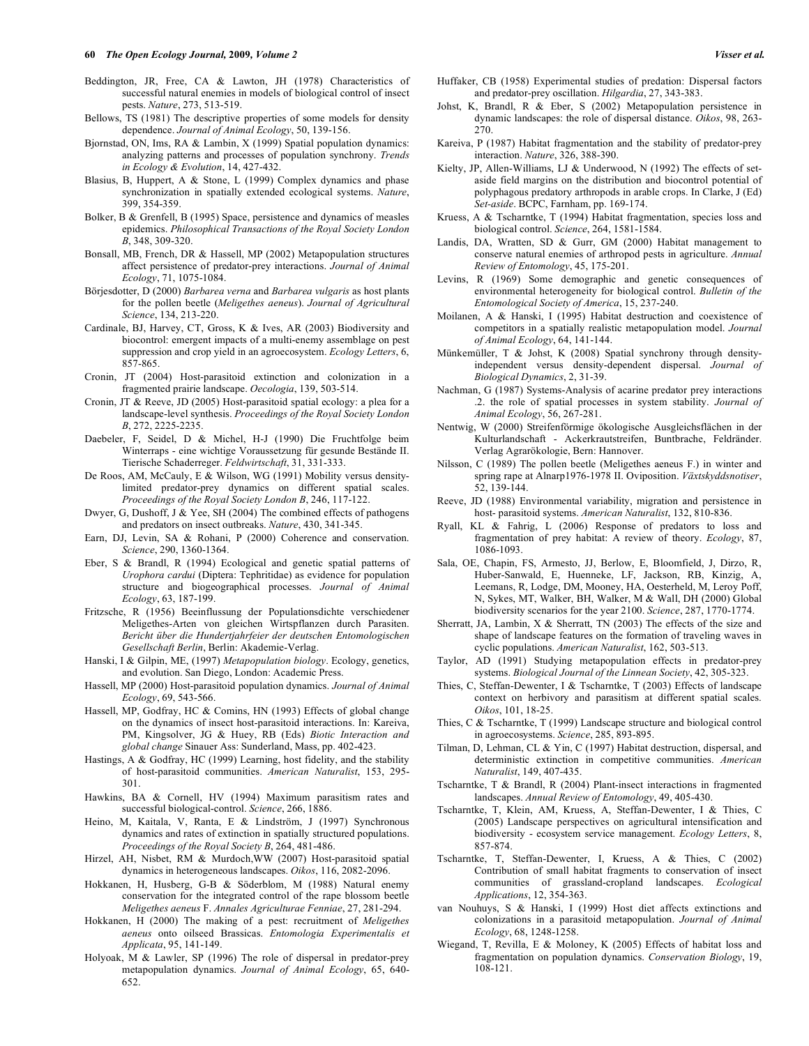- Beddington, JR, Free, CA & Lawton, JH (1978) Characteristics of successful natural enemies in models of biological control of insect pests. *Nature*, 273, 513-519.
- Bellows, TS (1981) The descriptive properties of some models for density dependence. *Journal of Animal Ecology*, 50, 139-156.
- Bjornstad, ON, Ims, RA & Lambin, X (1999) Spatial population dynamics: analyzing patterns and processes of population synchrony. *Trends in Ecology & Evolution*, 14, 427-432.
- Blasius, B, Huppert, A & Stone, L (1999) Complex dynamics and phase synchronization in spatially extended ecological systems. *Nature*, 399, 354-359.
- Bolker, B & Grenfell, B (1995) Space, persistence and dynamics of measles epidemics. *Philosophical Transactions of the Royal Society London B*, 348, 309-320.
- Bonsall, MB, French, DR & Hassell, MP (2002) Metapopulation structures affect persistence of predator-prey interactions. *Journal of Animal Ecology*, 71, 1075-1084.
- Börjesdotter, D (2000) *Barbarea verna* and *Barbarea vulgaris* as host plants for the pollen beetle (*Meligethes aeneus*). *Journal of Agricultural Science*, 134, 213-220.
- Cardinale, BJ, Harvey, CT, Gross, K & Ives, AR (2003) Biodiversity and biocontrol: emergent impacts of a multi-enemy assemblage on pest suppression and crop yield in an agroecosystem. *Ecology Letters*, 6, 857-865.
- Cronin, JT (2004) Host-parasitoid extinction and colonization in a fragmented prairie landscape. *Oecologia*, 139, 503-514.
- Cronin, JT & Reeve, JD (2005) Host-parasitoid spatial ecology: a plea for a landscape-level synthesis. *Proceedings of the Royal Society London B*, 272, 2225-2235.
- Daebeler, F, Seidel, D & Michel, H-J (1990) Die Fruchtfolge beim Winterraps - eine wichtige Voraussetzung für gesunde Bestände II. Tierische Schaderreger. *Feldwirtschaft*, 31, 331-333.
- De Roos, AM, McCauly, E & Wilson, WG (1991) Mobility versus densitylimited predator-prey dynamics on different spatial scales. *Proceedings of the Royal Society London B*, 246, 117-122.
- Dwyer, G, Dushoff, J & Yee, SH (2004) The combined effects of pathogens and predators on insect outbreaks. *Nature*, 430, 341-345.
- Earn, DJ, Levin, SA & Rohani, P (2000) Coherence and conservation. *Science*, 290, 1360-1364.
- Eber, S & Brandl, R (1994) Ecological and genetic spatial patterns of *Urophora cardui* (Diptera: Tephritidae) as evidence for population structure and biogeographical processes. *Journal of Animal Ecology*, 63, 187-199.
- Fritzsche, R (1956) Beeinflussung der Populationsdichte verschiedener Meligethes-Arten von gleichen Wirtspflanzen durch Parasiten. *Bericht über die Hundertjahrfeier der deutschen Entomologischen Gesellschaft Berlin*, Berlin: Akademie-Verlag.
- Hanski, I & Gilpin, ME, (1997) *Metapopulation biology*. Ecology, genetics, and evolution. San Diego, London: Academic Press.
- Hassell, MP (2000) Host-parasitoid population dynamics. *Journal of Animal Ecology*, 69, 543-566.
- Hassell, MP, Godfray, HC & Comins, HN (1993) Effects of global change on the dynamics of insect host-parasitoid interactions. In: Kareiva, PM, Kingsolver, JG & Huey, RB (Eds) *Biotic Interaction and global change* Sinauer Ass: Sunderland, Mass, pp. 402-423.
- Hastings, A & Godfray, HC (1999) Learning, host fidelity, and the stability of host-parasitoid communities. *American Naturalist*, 153, 295- 301.
- Hawkins, BA & Cornell, HV (1994) Maximum parasitism rates and successful biological-control. *Science*, 266, 1886.
- Heino, M, Kaitala, V, Ranta, E & Lindström, J (1997) Synchronous dynamics and rates of extinction in spatially structured populations. *Proceedings of the Royal Society B*, 264, 481-486.
- Hirzel, AH, Nisbet, RM & Murdoch,WW (2007) Host-parasitoid spatial dynamics in heterogeneous landscapes. *Oikos*, 116, 2082-2096.
- Hokkanen, H, Husberg, G-B & Söderblom, M (1988) Natural enemy conservation for the integrated control of the rape blossom beetle *Meligethes aeneus* F. *Annales Agriculturae Fenniae*, 27, 281-294.
- Hokkanen, H (2000) The making of a pest: recruitment of *Meligethes aeneus* onto oilseed Brassicas. *Entomologia Experimentalis et Applicata*, 95, 141-149.
- Holyoak, M & Lawler, SP (1996) The role of dispersal in predator-prey metapopulation dynamics. *Journal of Animal Ecology*, 65, 640- 652.
- Huffaker, CB (1958) Experimental studies of predation: Dispersal factors and predator-prey oscillation. *Hilgardia*, 27, 343-383.
- Johst, K, Brandl, R & Eber, S (2002) Metapopulation persistence in dynamic landscapes: the role of dispersal distance. *Oikos*, 98, 263- 270.
- Kareiva, P (1987) Habitat fragmentation and the stability of predator-prey interaction. *Nature*, 326, 388-390.
- Kielty, JP, Allen-Williams, LJ & Underwood, N (1992) The effects of setaside field margins on the distribution and biocontrol potential of polyphagous predatory arthropods in arable crops. In Clarke, J (Ed) *Set-aside*. BCPC, Farnham, pp. 169-174.
- Kruess, A & Tscharntke, T (1994) Habitat fragmentation, species loss and biological control. *Science*, 264, 1581-1584.
- Landis, DA, Wratten, SD & Gurr, GM (2000) Habitat management to conserve natural enemies of arthropod pests in agriculture. *Annual Review of Entomology*, 45, 175-201.
- Levins, R (1969) Some demographic and genetic consequences of environmental heterogeneity for biological control. *Bulletin of the Entomological Society of America*, 15, 237-240.
- Moilanen, A & Hanski, I (1995) Habitat destruction and coexistence of competitors in a spatially realistic metapopulation model. *Journal of Animal Ecology*, 64, 141-144.
- Münkemüller, T & Johst, K (2008) Spatial synchrony through densityindependent versus density-dependent dispersal. *Journal of Biological Dynamics*, 2, 31-39.
- Nachman, G (1987) Systems-Analysis of acarine predator prey interactions .2. the role of spatial processes in system stability. *Journal of Animal Ecology*, 56, 267-281.
- Nentwig, W (2000) Streifenförmige ökologische Ausgleichsflächen in der Kulturlandschaft - Ackerkrautstreifen, Buntbrache, Feldränder. Verlag Agrarökologie, Bern: Hannover.
- Nilsson, C (1989) The pollen beetle (Meligethes aeneus F.) in winter and spring rape at Alnarp1976-1978 II. Oviposition. *Växtskyddsnotiser*, 52, 139-144.
- Reeve, JD (1988) Environmental variability, migration and persistence in host- parasitoid systems. *American Naturalist*, 132, 810-836.
- Ryall, KL & Fahrig, L (2006) Response of predators to loss and fragmentation of prey habitat: A review of theory. *Ecology*, 87, 1086-1093.
- Sala, OE, Chapin, FS, Armesto, JJ, Berlow, E, Bloomfield, J, Dirzo, R, Huber-Sanwald, E, Huenneke, LF, Jackson, RB, Kinzig, A, Leemans, R, Lodge, DM, Mooney, HA, Oesterheld, M, Leroy Poff, N, Sykes, MT, Walker, BH, Walker, M & Wall, DH (2000) Global biodiversity scenarios for the year 2100. *Science*, 287, 1770-1774.
- Sherratt, JA, Lambin, X & Sherratt, TN (2003) The effects of the size and shape of landscape features on the formation of traveling waves in cyclic populations. *American Naturalist*, 162, 503-513.
- Taylor, AD (1991) Studying metapopulation effects in predator-prey systems. *Biological Journal of the Linnean Society*, 42, 305-323.
- Thies, C, Steffan-Dewenter, I & Tscharntke, T (2003) Effects of landscape context on herbivory and parasitism at different spatial scales. *Oikos*, 101, 18-25.
- Thies, C & Tscharntke, T (1999) Landscape structure and biological control in agroecosystems. *Science*, 285, 893-895.
- Tilman, D, Lehman, CL & Yin, C (1997) Habitat destruction, dispersal, and deterministic extinction in competitive communities. *American Naturalist*, 149, 407-435.
- Tscharntke, T & Brandl, R (2004) Plant-insect interactions in fragmented landscapes. *Annual Review of Entomology*, 49, 405-430.
- Tscharntke, T, Klein, AM, Kruess, A, Steffan-Dewenter, I & Thies, C (2005) Landscape perspectives on agricultural intensification and biodiversity - ecosystem service management. *Ecology Letters*, 8, 857-874.
- Tscharntke, T, Steffan-Dewenter, I, Kruess, A & Thies, C (2002) Contribution of small habitat fragments to conservation of insect communities of grassland-cropland landscapes. *Ecological Applications*, 12, 354-363.
- van Nouhuys, S & Hanski, I (1999) Host diet affects extinctions and colonizations in a parasitoid metapopulation. *Journal of Animal Ecology*, 68, 1248-1258.
- Wiegand, T, Revilla, E & Moloney, K (2005) Effects of habitat loss and fragmentation on population dynamics. *Conservation Biology*, 19, 108-121.